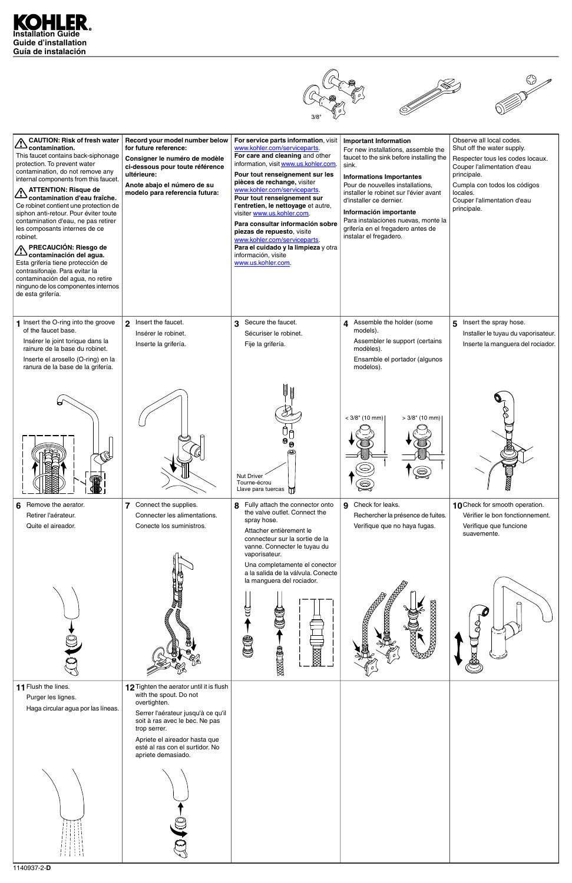







| A CAUTION: Risk of fresh water<br>.contaminationشکے<br>This faucet contains back-siphonage<br>protection. To prevent water<br>contamination, do not remove any<br>internal components from this faucet.<br>A ATTENTION: Risque de<br>contamination d'eau fraîche.<br>Ce robinet contient une protection de<br>siphon anti-retour. Pour éviter toute<br>contamination d'eau, ne pas retirer<br>les composants internes de ce<br>robinet.<br>∧ PRECAUCIÓN: Riesgo de<br>contaminación del agua.<br>Esta grifería tiene protección de<br>contrasifonaje. Para evitar la<br>contaminación del agua, no retire<br>ninguno de los componentes internos<br>de esta grifería. | Record your model number below<br>for future reference:<br>Consigner le numéro de modèle<br>ci-dessous pour toute référence<br>ultérieure:<br>Anote abajo el número de su<br>modelo para referencia futura: | For service parts information, visit<br>www.kohler.com/serviceparts.<br>For care and cleaning and other<br>information, visit www.us.kohler.com.<br>Pour tout renseignement sur les<br>pièces de rechange, visiter<br>www.kohler.com/serviceparts.<br>Pour tout renseignement sur<br>l'entretien, le nettoyage et autre,<br>visiter www.us.kohler.com.<br>Para consultar información sobre<br>piezas de repuesto, visite<br>www.kohler.com/serviceparts.<br>Para el cuidado y la limpieza y otra<br>información, visite<br>www.us.kohler.com. | <b>Important Information</b><br>For new installations, assemble the<br>faucet to the sink before installing the<br>sink.<br><b>Informations Importantes</b><br>Pour de nouvelles installations,<br>installer le robinet sur l'évier avant<br>d'installer ce dernier.<br>Información importante<br>Para instalaciones nuevas, monte la<br>grifería en el fregadero antes de<br>instalar el fregadero. | Observe all local codes.<br>Shut off the water supply.<br>Respecter tous les codes locaux.<br>Couper l'alimentation d'eau<br>principale.<br>Cumpla con todos los códigos<br>locales.<br>Couper l'alimentation d'eau<br>principale. |
|-----------------------------------------------------------------------------------------------------------------------------------------------------------------------------------------------------------------------------------------------------------------------------------------------------------------------------------------------------------------------------------------------------------------------------------------------------------------------------------------------------------------------------------------------------------------------------------------------------------------------------------------------------------------------|-------------------------------------------------------------------------------------------------------------------------------------------------------------------------------------------------------------|-----------------------------------------------------------------------------------------------------------------------------------------------------------------------------------------------------------------------------------------------------------------------------------------------------------------------------------------------------------------------------------------------------------------------------------------------------------------------------------------------------------------------------------------------|------------------------------------------------------------------------------------------------------------------------------------------------------------------------------------------------------------------------------------------------------------------------------------------------------------------------------------------------------------------------------------------------------|------------------------------------------------------------------------------------------------------------------------------------------------------------------------------------------------------------------------------------|
| 1 Insert the O-ring into the groove<br>of the faucet base.<br>Insérer le joint torique dans la<br>rainure de la base du robinet.<br>Inserte el arosello (O-ring) en la<br>ranura de la base de la grifería.                                                                                                                                                                                                                                                                                                                                                                                                                                                           | 2 Insert the faucet.<br>Insérer le robinet.<br>Inserte la grifería.                                                                                                                                         | 3 Secure the faucet.<br>Sécuriser le robinet.<br>Fije la grifería.                                                                                                                                                                                                                                                                                                                                                                                                                                                                            | 4 Assemble the holder (some<br>models).<br>Assembler le support (certains<br>modèles).<br>Ensamble el portador (algunos<br>modelos).                                                                                                                                                                                                                                                                 | Insert the spray hose.<br>5<br>Installer le tuyau du vaporisateur.<br>Inserte la manguera del rociador.                                                                                                                            |
|                                                                                                                                                                                                                                                                                                                                                                                                                                                                                                                                                                                                                                                                       |                                                                                                                                                                                                             | aaaa<br>anna<br>®<br><b>Nut Driver</b><br>Tourne-écrou<br>Llave para tuercas $\Box$                                                                                                                                                                                                                                                                                                                                                                                                                                                           | $<$ 3/8" (10 mm)<br>$>3/8$ " (10 mm)<br>$\circledcirc$                                                                                                                                                                                                                                                                                                                                               |                                                                                                                                                                                                                                    |
| Remove the aerator.<br>6<br>Retirer l'aérateur.<br>Quite el aireador.                                                                                                                                                                                                                                                                                                                                                                                                                                                                                                                                                                                                 | 7 Connect the supplies.<br>Connecter les alimentations.<br>Conecte los suministros.                                                                                                                         | 8 Fully attach the connector onto<br>the valve outlet. Connect the<br>spray hose.<br>Attacher entièrement le<br>connecteur sur la sortie de la<br>vanne. Connecter le tuyau du<br>vaporisateur.<br>Una completamente el conector                                                                                                                                                                                                                                                                                                              | 9 Check for leaks.<br>Rechercher la présence de fuites.<br>Verifique que no haya fugas.                                                                                                                                                                                                                                                                                                              | 10 Check for smooth operation.<br>Vérifier le bon fonctionnement.<br>Verifique que funcione<br>suavemente.                                                                                                                         |
|                                                                                                                                                                                                                                                                                                                                                                                                                                                                                                                                                                                                                                                                       | <b>RECORD CONTROL</b>                                                                                                                                                                                       | a la salida de la válvula. Conecte<br>la manguera del rociador.                                                                                                                                                                                                                                                                                                                                                                                                                                                                               | <b>XXXXX</b>                                                                                                                                                                                                                                                                                                                                                                                         |                                                                                                                                                                                                                                    |